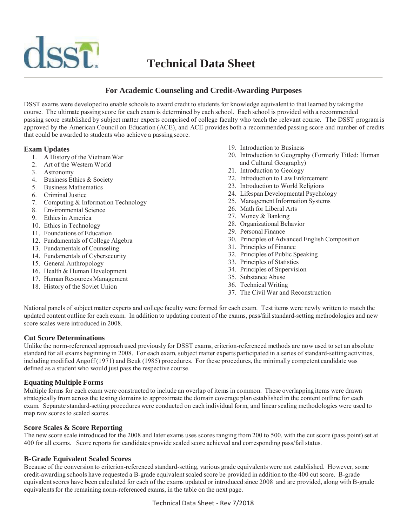

# **For Academic Counseling and Credit-Awarding Purposes**

DSST exams were developed to enable schools to award credit to students for knowledge equivalent to that learned by taking the course. The ultimate passing score for each exam is determined by each school. Each school is provided with a recommended passing score established by subject matter experts comprised of college faculty who teach the relevant course. The DSST program is approved by the American Council on Education (ACE), and ACE provides both a recommended passing score and number of credits that could be awarded to students who achieve a passing score.

## **Exam Updates**

- 1. A History of the Vietnam War
- 2. Art of the Western World
- 3. Astronomy
- 4. Business Ethics & Society
- 5. Business Mathematics
- 6. Criminal Justice
- 7. Computing & Information Technology
- 8. Environmental Science
- 9. Ethics in America
- 10. Ethics in Technology
- 11. Foundations of Education
- 12. Fundamentals of College Algebra
- 13. Fundamentals of Counseling
- 14. Fundamentals of Cybersecurity
- 15. General Anthropology
- 16. Health & Human Development
- 17. Human Resources Management
- 18. History of the Soviet Union
- 19. Introduction to Business
- 20. Introduction to Geography (Formerly Titled: Human and Cultural Geography)
- 21. Introduction to Geology
- 22. Introduction to Law Enforcement
- 23. Introduction to World Religions
- 24. Lifespan Developmental Psychology
- 25. Management Information Systems
- 26. Math for Liberal Arts
- 27. Money & Banking
- 28. Organizational Behavior
- 29. Personal Finance
- 30. Principles of Advanced English Composition
- 31. Principles of Finance
- 32. Principles of Public Speaking
- 33. Principles of Statistics
- 34. Principles of Supervision
- 35. Substance Abuse
- 36. Technical Writing
- 37. The Civil War and Reconstruction

National panels of subject matter experts and college faculty were formed for each exam. Test items were newly written to match the updated content outline for each exam. In addition to updating content of the exams, pass/fail standard-setting methodologies and new score scales were introduced in 2008.

## **Cut Score Determinations**

Unlike the norm-referenced approach used previously for DSST exams, criterion-referenced methods are now used to set an absolute standard for all exams beginning in 2008. For each exam, subject matter experts participated in a series of standard-setting activities, including modified Angoff (1971) and Beuk (1985) procedures. For these procedures, the minimally competent candidate was defined as a student who would just pass the respective course.

## **Equating Multiple Forms**

Multiple forms for each exam were constructed to include an overlap of items in common. These overlapping items were drawn strategically from across the testing domains to approximate the domain coverage plan established in the content outline for each exam. Separate standard-setting procedures were conducted on each individual form, and linear scaling methodologies were used to map raw scores to scaled scores.

## **Score Scales & Score Reporting**

The new score scale introduced for the 2008 and later exams uses scores ranging from 200 to 500, with the cut score (pass point) set at 400 for all exams. Score reports for candidates provide scaled score achieved and corresponding pass/fail status.

## **B-Grade Equivalent Scaled Scores**

Because of the conversion to criterion-referenced standard-setting, various grade equivalents were not established. However, some credit-awarding schools have requested a B-grade equivalent scaled score be provided in addition to the 400 cut score. B-grade equivalent scores have been calculated for each of the exams updated or introduced since 2008 and are provided, along with B-grade equivalents for the remaining norm-referenced exams, in the table on the next page.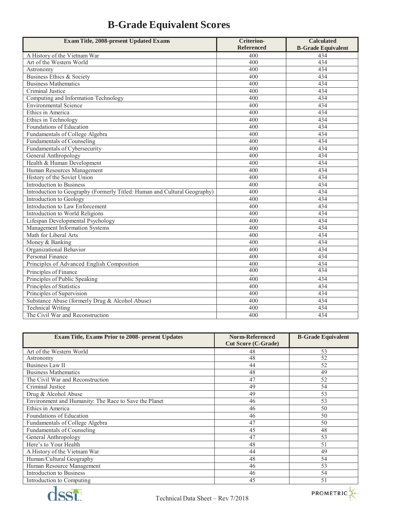| <b>Exam Title, 2008-present Updated Exams</b>                             | <b>Criterion-</b> | <b>Calculated</b>         |
|---------------------------------------------------------------------------|-------------------|---------------------------|
|                                                                           | <b>Referenced</b> | <b>B-Grade Equivalent</b> |
| A History of the Vietnam War                                              | 400               | 434                       |
| Art of the Western World                                                  | 400               | 434                       |
| Astronomy                                                                 | 400               | 434                       |
| Business Ethics & Society                                                 | 400               | 434                       |
| <b>Business Mathematics</b>                                               | 400               | 434                       |
| Criminal Justice                                                          | 400               | 434                       |
| Computing and Information Technology                                      | 400               | 434                       |
| Environmental Science                                                     | 400               | 434                       |
| Ethics in America                                                         | 400               | 434                       |
| Ethics in Technology                                                      | 400               | 434                       |
| Foundations of Education                                                  | 400               | 434                       |
| Fundamentals of College Algebra                                           | 400               | 434                       |
| Fundamentals of Counseling                                                | 400               | 434                       |
| Fundamentals of Cybersecurity                                             | 400               | 434                       |
| General Anthropology                                                      | 400               | 434                       |
| Health & Human Development                                                | 400               | 434                       |
| Human Resources Management                                                | 400               | 434                       |
| History of the Soviet Union                                               | 400               | 434                       |
| Introduction to Business                                                  | 400               | 434                       |
| Introduction to Geography (Formerly Titled: Human and Cultural Geography) | 400               | 434                       |
| Introduction to Geology                                                   | 400               | 434                       |
| Introduction to Law Enforcement                                           | 400               | 434                       |
| Introduction to World Religions                                           | 400               | 434                       |
| Lifespan Developmental Psychology                                         | 400               | 434                       |
| Management Information Systems                                            | 400               | 434                       |
| Math for Liberal Arts                                                     | 400               | 434                       |
| Money & Banking                                                           | 400               | 434                       |
| Organizational Behavior                                                   | 400               | 434                       |
| Personal Finance                                                          | 400               | 434                       |
| Principles of Advanced English Composition                                | 400               | 434                       |
| Principles of Finance                                                     | 400               | 434                       |
| Principles of Public Speaking                                             | 400               | 434                       |
| Principles of Statistics                                                  | 400               | 434                       |
| Principles of Supervision                                                 | 400               | 434                       |
| Substance Abuse (formerly Drug & Alcohol Abuse)                           | 400               | 434                       |
| <b>Technical Writing</b>                                                  | 400               | 434                       |
| The Civil War and Reconstruction                                          | 400               | 434                       |

| <b>Exam Title, Exams Prior to 2008- present Updates</b> | <b>Norm-Referenced</b><br><b>Cut Score (C-Grade)</b> | <b>B-Grade Equivalent</b> |
|---------------------------------------------------------|------------------------------------------------------|---------------------------|
| Art of the Western World                                | 48                                                   | 53                        |
| Astronomy                                               | 48                                                   | 52                        |
| <b>Business Law II</b>                                  | 44                                                   | 52                        |
| <b>Business Mathematics</b>                             | 48                                                   | 49                        |
| The Civil War and Reconstruction                        | 47                                                   | 52                        |
| Criminal Justice                                        | 49                                                   | 54                        |
| Drug & Alcohol Abuse                                    | 49                                                   | 53                        |
| Environment and Humanity: The Race to Save the Planet   | 46                                                   | 53                        |
| Ethics in America                                       | 46                                                   | 50                        |
| Foundations of Education                                | 46                                                   | 50                        |
| Fundamentals of College Algebra                         | 47                                                   | 50                        |
| Fundamentals of Counseling                              | 45                                                   | 48                        |
| General Anthropology                                    | 47                                                   | 53                        |
| Here's to Your Health                                   | 48                                                   | 51                        |
| A History of the Vietnam War                            | 44                                                   | 49                        |
| Human/Cultural Geography                                | 48                                                   | 54                        |
| Human Resource Management                               | 46                                                   | 53                        |
| <b>Introduction to Business</b>                         | 46                                                   | 54                        |
| Introduction to Computing                               | 45                                                   | 51                        |